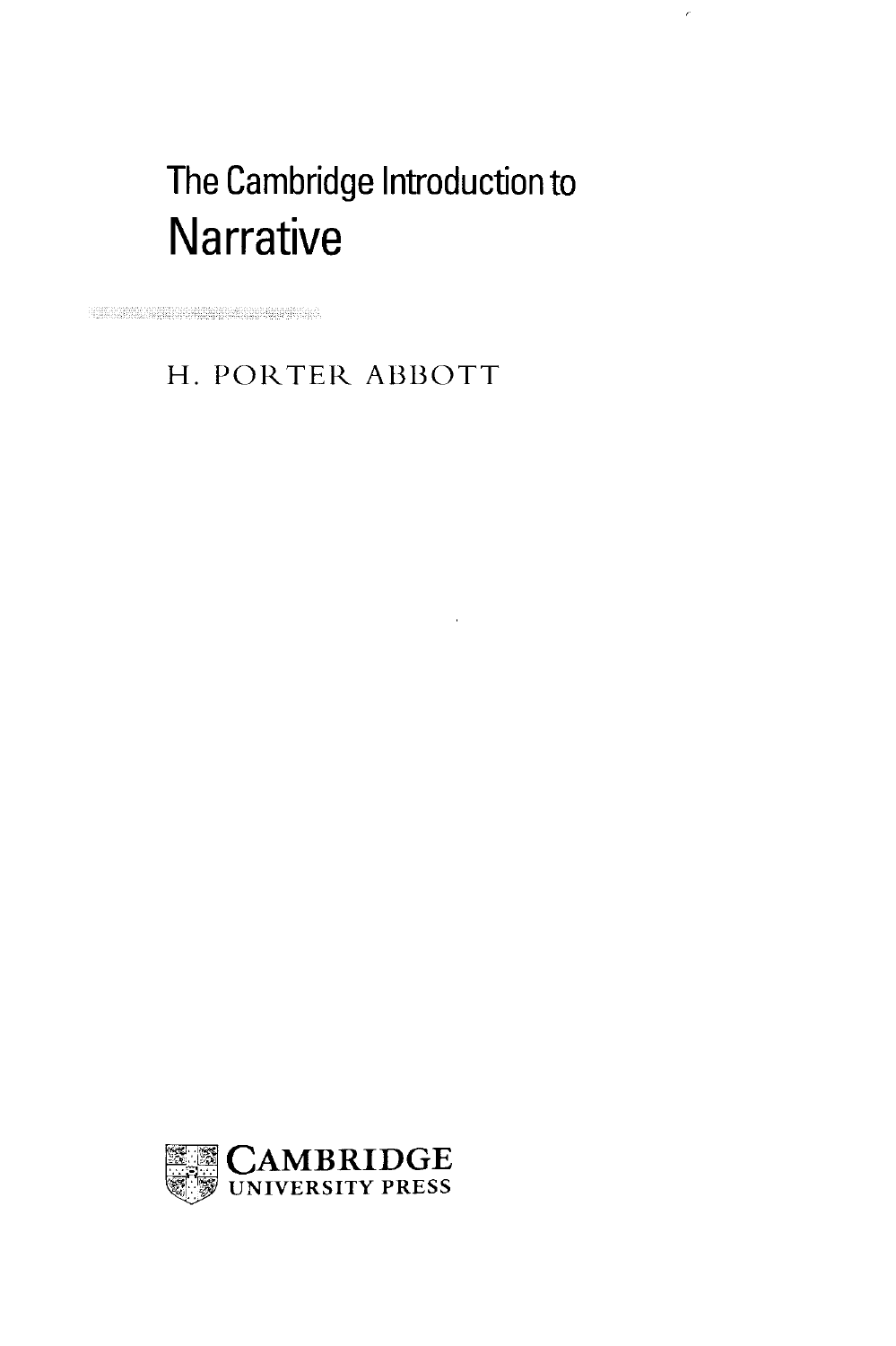# The Cambridge Introduction to **Narrative**

 $\bar{\bar{c}}$ 

## H. PORTER ABBOTT

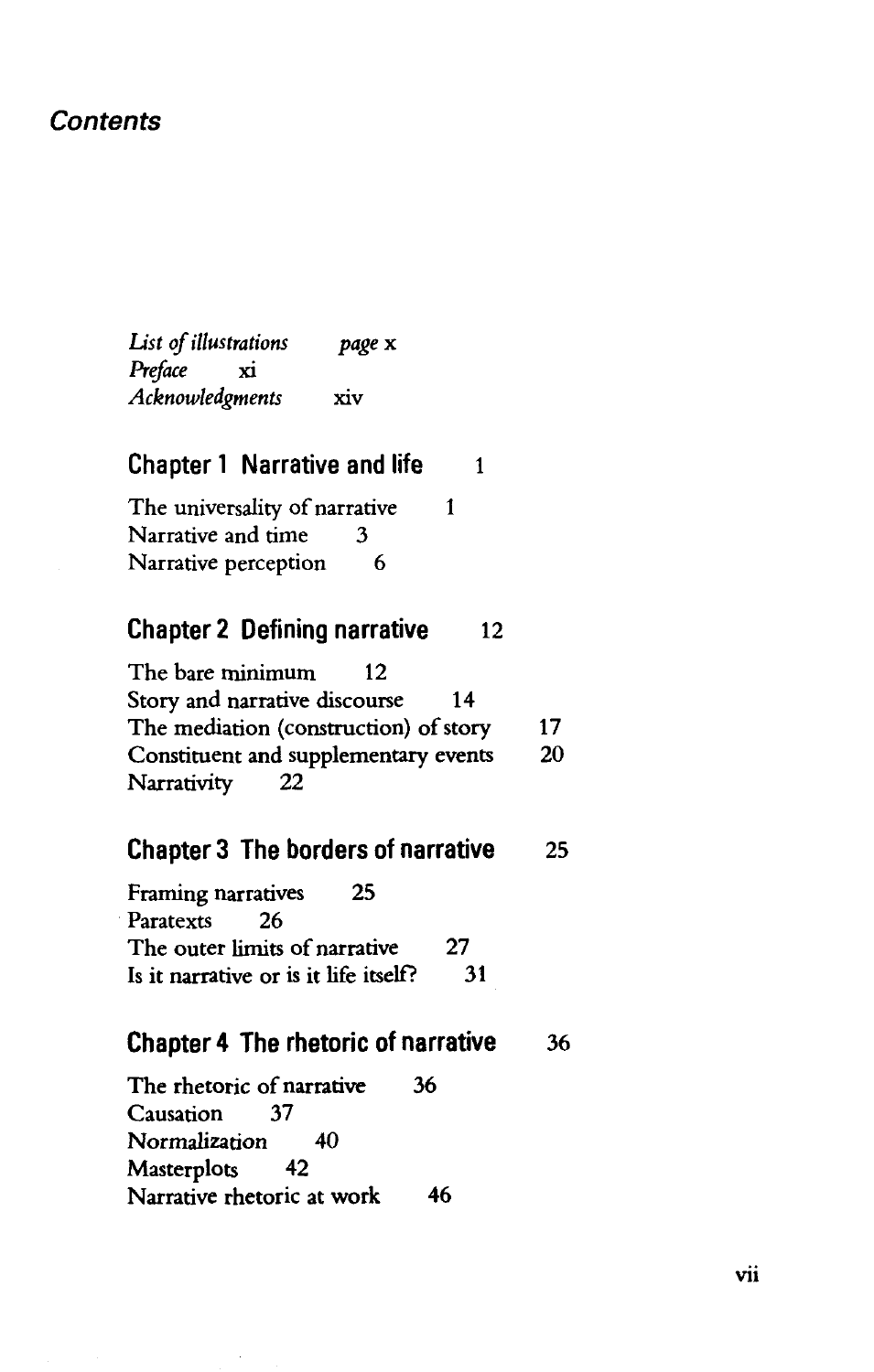## **Contents**

*List of illustrations page* x *Preface* xi *Acknowledgments* xiv

## **Chapter 1 Narrative and life** 1

The universality of narrative 1 Narrative and time 3 Narrative perception 6

## **Chapter 2 Defining narrative 12**

| The bare minimum<br>12 <sub>1</sub>   |    |
|---------------------------------------|----|
| Story and narrative discourse<br>14   |    |
| The mediation (construction) of story | 17 |
| Constituent and supplementary events  | 20 |
| Narrativity<br>22                     |    |

## **Chapter 3 The borders of narrative 25**

| Framing narratives<br>25              |     |
|---------------------------------------|-----|
| Paratexts 26                          |     |
| The outer limits of narrative         | 27  |
| Is it narrative or is it life itself? | -31 |

### **Chapter 4 The rhetoric of narrative 36**

The rhetoric of narrative 36 Causation 37 Normalization 40 Masterplots 42 Narrative rhetoric at work 46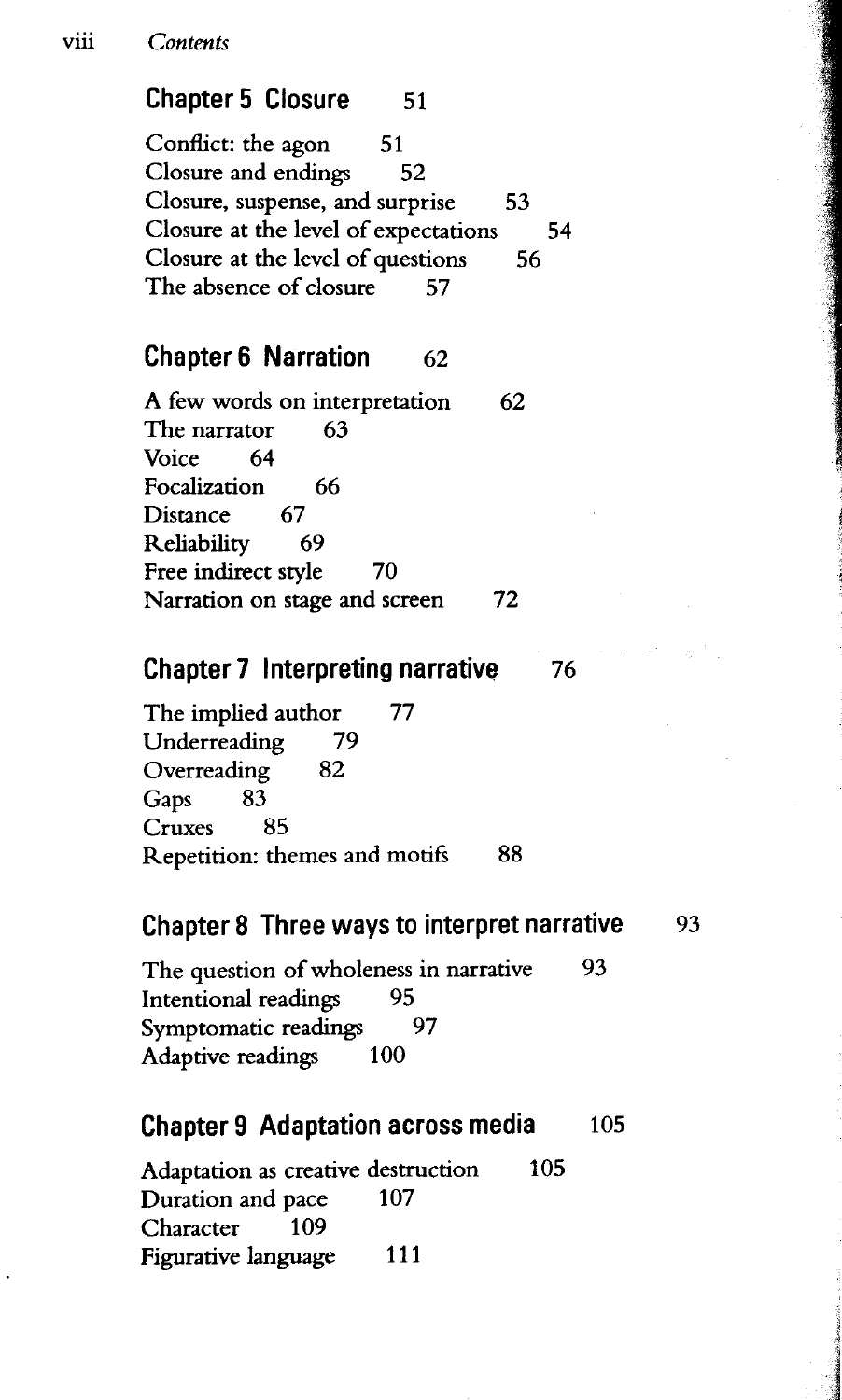#### viii *Contents*

## **Chapter 5 Closure 51**

Conflict: the agon 51 Closure and endings 52 Closure, suspense, and surprise 53 Closure at the level of expectations 54 Closure at the level of questions 56 The absence of closure 57

## **Chapter 6 Narration** 62

A few words on interpretation 62 The narrator 63 Voice 64 Focalization 66<br>Distance 67 Distance Reliability 69 Free indirect style 70 Narration on stage and screen 72

## **Chapter 7 Interpreting narrative 76**

The implied author 77 Underreading 79 Overreading 82 Gaps 83 Cruxes 85 Repetition: themes and motifs 88

## **Chapter 8 Three ways to interpret narrative 93**

The question of wholeness in narrative 93 Intentional readings 95 Symptomatic readings 97 Adaptive readings 100

#### **Chapter 9 Adaptation across media 105**

Adaptation as creative destruction 105 Duration and pace 107 Character 109 Figurative language 111